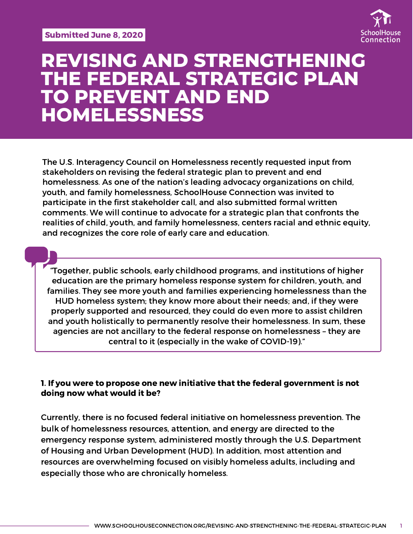

# **REVISING AND STRENGTHENING THE FEDERAL STRATEGIC PLAN TO PREVENT AND END HOMELESSNESS**

The U.S. Interagency Council on Homelessness recently requested input from stakeholders on revising the federal strategic plan to prevent and end homelessness. As one of the nation's leading advocacy organizations on child, youth, and family homelessness, SchoolHouse Connection was invited to participate in the first stakeholder call, and also submitted formal written comments. We will continue to advocate for a strategic plan that confronts the realities of child, youth, and family homelessness, centers racial and ethnic equity, and recognizes the core role of early care and education.

"Together, public schools, early childhood programs, and institutions of higher education are the primary homeless response system for children, youth, and families. They see more youth and families experiencing homelessness than the HUD homeless system; they know more about their needs; and, if they were properly supported and resourced, they could do even more to assist children and youth holistically to permanently resolve their homelessness. In sum, these agencies are not ancillary to the federal response on homelessness – they are central to it (especially in the wake of COVID-19)."

### 1. If you were to propose one new initiative that the federal government is not doing now what would it be?

Currently, there is no focused federal initiative on homelessness prevention. The bulk of homelessness resources, attention, and energy are directed to the emergency response system, administered mostly through the U.S. Department of Housing and Urban Development (HUD). In addition, most attention and resources are overwhelming focused on visibly homeless adults, including and especially those who are chronically homeless.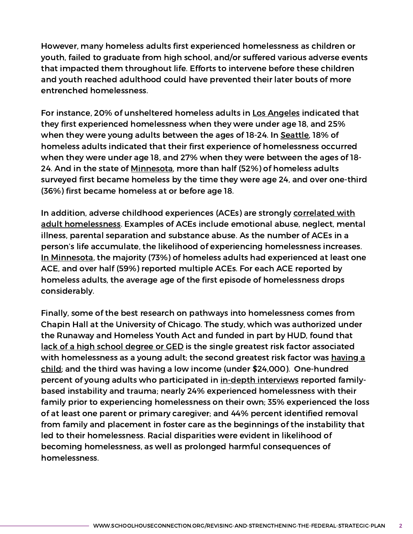However, many homeless adults first experienced homelessness as children or youth, failed to graduate from high school, and/or suffered various adverse events that impacted them throughout life. Efforts to intervene before these children and youth reached adulthood could have prevented their later bouts of more entrenched homelessness.

For instance, 20% of unsheltered homeless adults in Los [Angeles](https://economicrt.org/publication/escape-routes/) indicated that they first experienced homelessness when they were under age 18, and 25% when they were young adults between the ages of 18-24. In [Seattle](http://allhomekc.org/wp-content/uploads/2019/05/2019-Report_KingCounty_FINAL.pdf), 18% of homeless adults indicated that their first experience of homelessness occurred when they were under age 18, and 27% when they were between the ages of 18- 24. And in the state of [Minnesota,](https://www.wilder.org/sites/default/files/imports/2018_HomelessnessInMinnesota_3-20.pdf) more than half (52%) of homeless adults surveyed first became homeless by the time they were age 24, and over one-third (36%) first became homeless at or before age 18.

In addition, adverse childhood experiences (ACEs) are strongly correlated with adult [homelessness.](https://homelesshub.ca/blog/infographic-adverse-childhood-experiences-and-adult-homelessness) Examples of ACEs include emotional abuse, neglect, mental illness, parental separation and substance abuse. As the number of ACEs in a person's life accumulate, the likelihood of experiencing homelessness increases. In [Minnesota](https://www.wilder.org/sites/default/files/imports/2018_HomelessnessInMinnesota_3-20.pdf), the majority (73%) of homeless adults had experienced at least one ACE, and over half (59%) reported multiple ACEs. For each ACE reported by homeless adults, the average age of the first episode of homelessness drops considerably.

Finally, some of the best research on pathways into homelessness comes from Chapin Hall at the University of Chicago. The study, which was authorized under the Runaway and Homeless Youth Act and funded in part by HUD, found that lack of a high school [degree](https://voicesofyouthcount.org/brief/missed-opportunities-education-among-youth-experiencing-homelessness-in-america/) or GED is the single greatest risk factor associated with homelessness as a young adult; the second greatest risk factor was having a child; and the third was having a low income (under \$24,000). [One-hundred](https://voicesofyouthcount.org/brief/pregnant-and-parenting-youth-experiencing-homelessness/) percent of young adults who participated in in-depth [interviews](https://voicesofyouthcount.org/brief/missed-opportunities-youth-pathways-through-homelessness-in-america/) reported familybased instability and trauma; nearly 24% experienced homelessness with their family prior to experiencing homelessness on their own; 35% experienced the loss of at least one parent or primary caregiver; and 44% percent identified removal from family and placement in foster care as the beginnings of the instability that led to their homelessness. Racial disparities were evident in likelihood of becoming homelessness, as well as prolonged harmful consequences of homelessness.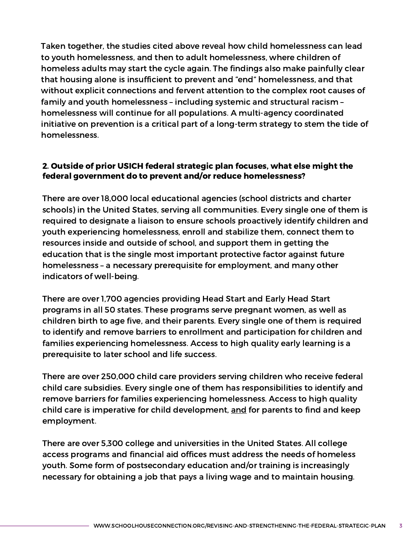Taken together, the studies cited above reveal how child homelessness can lead to youth homelessness, and then to adult homelessness, where children of homeless adults may start the cycle again. The findings also make painfully clear that housing alone is insufficient to prevent and "end" homelessness, and that without explicit connections and fervent attention to the complex root causes of family and youth homelessness – including systemic and structural racism – homelessness will continue for all populations. A multi-agency coordinated initiative on prevention is a critical part of a long-term strategy to stem the tide of homelessness.

## 2. Outside of prior USICH federal strategic plan focuses, what else might the federal government do to prevent and/or reduce homelessness?

There are over 18,000 local educational agencies (school districts and charter schools) in the United States, serving all communities. Every single one of them is required to designate a liaison to ensure schools proactively identify children and youth experiencing homelessness, enroll and stabilize them, connect them to resources inside and outside of school, and support them in getting the education that is the single most important protective factor against future homelessness – a necessary prerequisite for employment, and many other indicators of well-being.

There are over 1,700 agencies providing Head Start and Early Head Start programs in all 50 states. These programs serve pregnant women, as well as children birth to age five, and their parents. Every single one of them is required to identify and remove barriers to enrollment and participation for children and families experiencing homelessness. Access to high quality early learning is a prerequisite to later school and life success.

There are over 250,000 child care providers serving children who receive federal child care subsidies. Every single one of them has responsibilities to identify and remove barriers for families experiencing homelessness. Access to high quality child care is imperative for child development, and for parents to find and keep employment.

There are over 5,300 college and universities in the United States. All college access programs and financial aid offices must address the needs of homeless youth. Some form of postsecondary education and/or training is increasingly necessary for obtaining a job that pays a living wage and to maintain housing.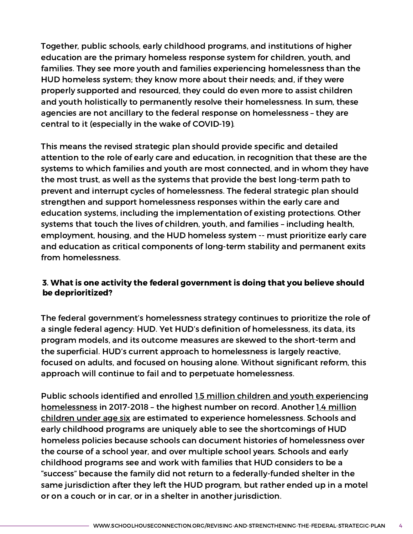Together, public schools, early childhood programs, and institutions of higher education are the primary homeless response system for children, youth, and families. They see more youth and families experiencing homelessness than the HUD homeless system; they know more about their needs; and, if they were properly supported and resourced, they could do even more to assist children and youth holistically to permanently resolve their homelessness. In sum, these agencies are not ancillary to the federal response on homelessness – they are central to it (especially in the wake of COVID-19).

This means the revised strategic plan should provide specific and detailed attention to the role of early care and education, in recognition that these are the systems to which families and youth are most connected, and in whom they have the most trust, as well as the systems that provide the best long-term path to prevent and interrupt cycles of homelessness. The federal strategic plan should strengthen and support homelessness responses within the early care and education systems, including the implementation of existing protections. Other systems that touch the lives of children, youth, and families – including health, employment, housing, and the HUD homeless system -- must prioritize early care and education as critical components of long-term stability and permanent exits from homelessness.

# 3. What is one activity the federal government is doing that you believe should be deprioritized?

The federal government's homelessness strategy continues to prioritize the role of a single federal agency: HUD. Yet HUD's definition of homelessness, its data, its program models, and its outcome measures are skewed to the short-term and the superficial. HUD's current approach to homelessness is largely reactive, focused on adults, and focused on housing alone. Without significant reform, this approach will continue to fail and to perpetuate homelessness.

Public schools identified and enrolled 1.5 million children and youth experiencing [homelessness](https://nche.ed.gov/wp-content/uploads/2020/01/Federal-Data-Summary-SY-15.16-to-17.18-Published-1.30.2020.pdf) in 2017-2018 - the highest number on record. Another 1.4 million children under age six are estimated to experience [homelessness.](https://www2.ed.gov/rschstat/eval/disadv/homeless/early-childhood-homelessness-state-profiles-2020.pdf) Schools and early childhood programs are uniquely able to see the shortcomings of HUD homeless policies because schools can document histories of homelessness over the course of a school year, and over multiple school years. Schools and early childhood programs see and work with families that HUD considers to be a "success" because the family did not return to a federally-funded shelter in the same jurisdiction after they left the HUD program, but rather ended up in a motel or on a couch or in car, or in a shelter in another jurisdiction.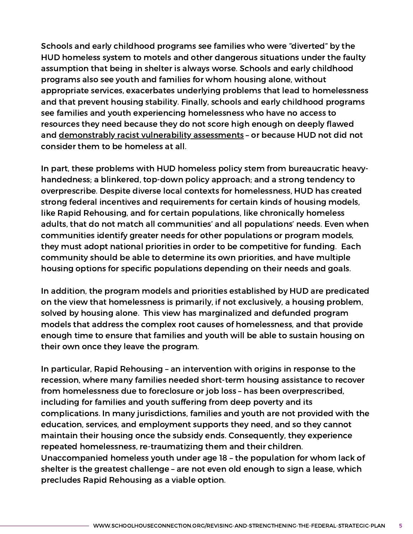Schools and early childhood programs see families who were "diverted" by the HUD homeless system to motels and other dangerous situations under the faulty assumption that being in shelter is always worse. Schools and early childhood programs also see youth and families for whom housing alone, without appropriate services, exacerbates underlying problems that lead to homelessness and that prevent housing stability. Finally, schools and early childhood programs see families and youth experiencing homelessness who have no access to resources they need because they do not score high enough on deeply flawed and [demonstrably](https://buildingchanges.org/news/2019/item/1042-system-that-apportions-homeless-housing-is-limiting-access-for-people-of-color) racist vulnerability assessments - or because HUD not did not consider them to be homeless at all.

In part, these problems with HUD homeless policy stem from bureaucratic heavyhandedness; a blinkered, top-down policy approach; and a strong tendency to overprescribe. Despite diverse local contexts for homelessness, HUD has created strong federal incentives and requirements for certain kinds of housing models, like Rapid Rehousing, and for certain populations, like chronically homeless adults, that do not match all communities' and all populations' needs. Even when communities identify greater needs for other populations or program models, they must adopt national priorities in order to be competitive for funding. Each community should be able to determine its own priorities, and have multiple housing options for specific populations depending on their needs and goals.

In addition, the program models and priorities established by HUD are predicated on the view that homelessness is primarily, if not exclusively, a housing problem, solved by housing alone. This view has marginalized and defunded program models that address the complex root causes of homelessness, and that provide enough time to ensure that families and youth will be able to sustain housing on their own once they leave the program.

In particular, Rapid Rehousing – an intervention with origins in response to the recession, where many families needed short-term housing assistance to recover from homelessness due to foreclosure or job loss – has been overprescribed, including for families and youth suffering from deep poverty and its complications. In many jurisdictions, families and youth are not provided with the education, services, and employment supports they need, and so they cannot maintain their housing once the subsidy ends. Consequently, they experience repeated homelessness, re-traumatizing them and their children. Unaccompanied homeless youth under age 18 – the population for whom lack of shelter is the greatest challenge – are not even old enough to sign a lease, which precludes Rapid Rehousing as a viable option.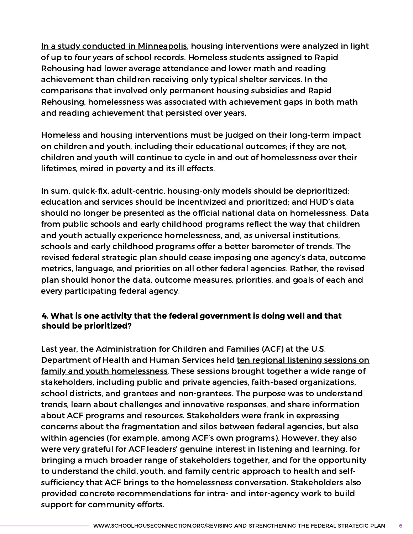In a study conducted in [Minneapolis](https://srcd.onlinelibrary.wiley.com/doi/epdf/10.1111/cdev.13041), housing interventions were analyzed in light of up to four years of school records. Homeless students assigned to Rapid Rehousing had lower average attendance and lower math and reading achievement than children receiving only typical shelter services. In the comparisons that involved only permanent housing subsidies and Rapid Rehousing, homelessness was associated with achievement gaps in both math and reading achievement that persisted over years.

Homeless and housing interventions must be judged on their long-term impact on children and youth, including their educational outcomes; if they are not, children and youth will continue to cycle in and out of homelessness over their lifetimes, mired in poverty and its ill effects.

In sum, quick-fix, adult-centric, housing-only models should be deprioritized; education and services should be incentivized and prioritized; and HUD's data should no longer be presented as the official national data on homelessness. Data from public schools and early childhood programs reflect the way that children and youth actually experience homelessness, and, as universal institutions, schools and early childhood programs offer a better barometer of trends. The revised federal strategic plan should cease imposing one agency's data, outcome metrics, language, and priorities on all other federal agencies. Rather, the revised plan should honor the data, outcome measures, priorities, and goals of each and every participating federal agency.

### 4. What is one activity that the federal government is doing well and that should be prioritized?

Last year, the Administration for Children and Families (ACF) at the U.S. Department of Health and Human Services held ten regional listening sessions on family and youth [homelessness.](https://www.acf.hhs.gov/fysb/resource/2019-acf-regional-listening-sessions-on-family-homelessness) These sessions brought together a wide range of stakeholders, including public and private agencies, faith-based organizations, school districts, and grantees and non-grantees. The purpose was to understand trends, learn about challenges and innovative responses, and share information about ACF programs and resources. Stakeholders were frank in expressing concerns about the fragmentation and silos between federal agencies, but also within agencies (for example, among ACF's own programs). However, they also were very grateful for ACF leaders' genuine interest in listening and learning, for bringing a much broader range of stakeholders together, and for the opportunity to understand the child, youth, and family centric approach to health and selfsufficiency that ACF brings to the homelessness conversation. Stakeholders also provided concrete recommendations for intra- and inter-agency work to build support for community efforts.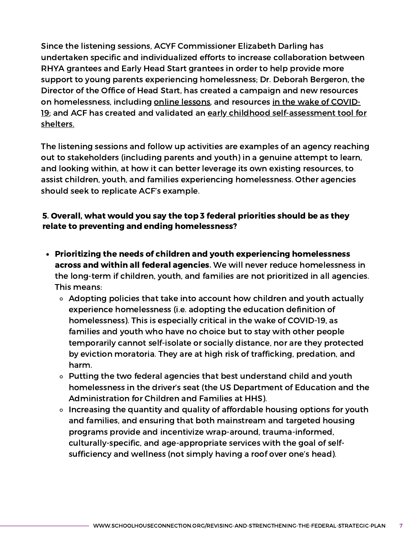Since the listening sessions, ACYF Commissioner Elizabeth Darling has undertaken specific and individualized efforts to increase collaboration between RHYA grantees and Early Head Start grantees in order to help provide more support to young parents experiencing homelessness; Dr. Deborah Bergeron, the Director of the Office of Head Start, has created a campaign and new resources on homelessness, including online [lessons,](https://eclkc.ohs.acf.hhs.gov/family-support-well-being/article/supporting-children-families-experiencing-homelessness?utm_medium=email&utm_campaign=OHS+Eblast+Home+at+Head+Start+Family+Housing+Instability+and+Homelessness+During+the+COVID-19+Emergency&utm_content=OHS+Eblast+Home+at+Head+Start+Family+Housing+Instability+and+Homelessness+During+the+COVID-19+Emergency+CID_fd585d5730f813ab478b1153034908e1&utm_source=CM+Eblast&utm_term=Supporting+Children+and+Families+Experiencing+Homelessness&cid=fd585d5730f813ab478b1153034908e1) and resources in the wake of COVID19; and ACF has created and validated an early childhood [self-assessment](https://hsicc.cmail20.com/t/ViewEmail/j/B0B76ED0A45836342540EF23F30FEDED/92E01556F5E83B134415EB25BE999822) tool for shelters.

The listening sessions and follow up activities are examples of an agency reaching out to stakeholders (including parents and youth) in a genuine attempt to learn, and looking within, at how it can better leverage its own existing resources, to assist children, youth, and families experiencing homelessness. Other agencies should seek to replicate ACF's example.

# 5. Overall, what would you say the top 3 federal priorities should be as they relate to preventing and ending homelessness?

- Prioritizing the needs of children and youth experiencing homelessness across and within all federal agencies. We will never reduce homelessness in the long-term if children, youth, and families are not prioritized in all agencies. This means:
	- Adopting policies that take into account how children and youth actually experience homelessness (i.e. adopting the education definition of homelessness). This is especially critical in the wake of COVID-19, as families and youth who have no choice but to stay with other people temporarily cannot self-isolate or socially distance, nor are they protected by eviction moratoria. They are at high risk of trafficking, predation, and harm.
	- Putting the two federal agencies that best understand child and youth homelessness in the driver's seat (the US Department of Education and the Administration for Children and Families at HHS).
	- Increasing the quantity and quality of affordable housing options for youth and families, and ensuring that both mainstream and targeted housing programs provide and incentivize wrap-around, trauma-informed, culturally-specific, and age-appropriate services with the goal of selfsufficiency and wellness (not simply having a roof over one's head).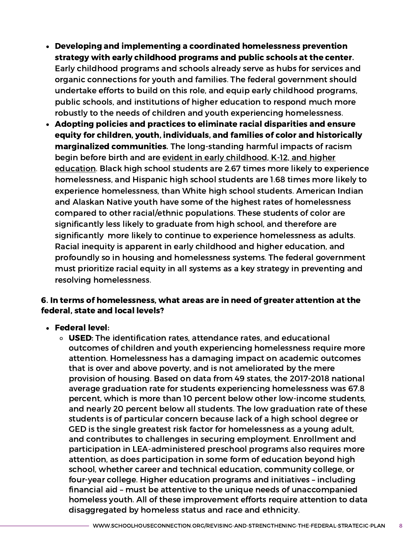- Developing and implementing a coordinated homelessness prevention strategy with early childhood programs and public schools at the center. Early childhood programs and schools already serve as hubs for services and organic connections for youth and families. The federal government should undertake efforts to build on this role, and equip early childhood programs, public schools, and institutions of higher education to respond much more robustly to the needs of children and youth experiencing homelessness.
- Adopting policies and practices to eliminate racial disparities and ensure equity for children, youth, individuals, and families of color and historically marginalized communities. The long-standing harmful impacts of racism begin before birth and are evident in early childhood, K-12, and higher [education.](https://www.schoolhouseconnection.org/overcoming-homelessness-through-education-means-fighting-racism/) Black high school students are 2.67 times more likely to experience homelessness, and Hispanic high school students are 1.68 times more likely to experience homelessness, than White high school students. American Indian and Alaskan Native youth have some of the highest rates of homelessness compared to other racial/ethnic populations. These students of color are significantly less likely to graduate from high school, and therefore are significantly more likely to continue to experience homelessness as adults. Racial inequity is apparent in early childhood and higher education, and profoundly so in housing and homelessness systems. The federal government must prioritize racial equity in all systems as a key strategy in preventing and resolving homelessness.

#### 6. In terms of homelessness, what areas are in need of greater attention at the federal, state and local levels?

- Federal level:
	- o USED: The identification rates, attendance rates, and educational outcomes of children and youth experiencing homelessness require more attention. Homelessness has a damaging impact on academic outcomes that is over and above poverty, and is not ameliorated by the mere provision of housing. Based on data from 49 states, the 2017-2018 national average graduation rate for students experiencing homelessness was 67.8 percent, which is more than 10 percent below other low-income students, and nearly 20 percent below all students. The low graduation rate of these students is of particular concern because lack of a high school degree or GED is the single greatest risk factor for homelessness as a young adult, and contributes to challenges in securing employment. Enrollment and participation in LEA-administered preschool programs also requires more attention, as does participation in some form of education beyond high school, whether career and technical education, community college, or four-year college. Higher education programs and initiatives – including financial aid – must be attentive to the unique needs of unaccompanied homeless youth. All of these improvement efforts require attention to data disaggregated by homeless status and race and ethnicity.